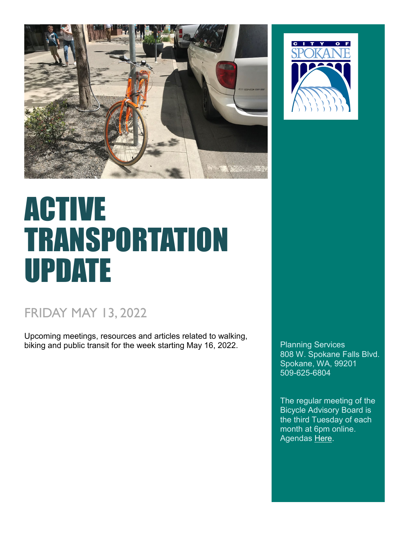



# ACTIVE TRANSPORTATION UPDATE

## FRIDAY MAY 13, 2022

Upcoming meetings, resources and articles related to walking, biking and public transit for the week starting May 16, 2022.

808 W. Spokane Falls Blvd. Spokane, WA, 99201 509-625-6804

The regular meeting of the [Bicycle Advisory Board](https://my.spokanecity.org/bcc/boards/bicycle-advisory-board/) is the third Tuesday of each month at 6pm online. Agendas [Here.](https://my.spokanecity.org/bcc/boards/bicycle-advisory-board/)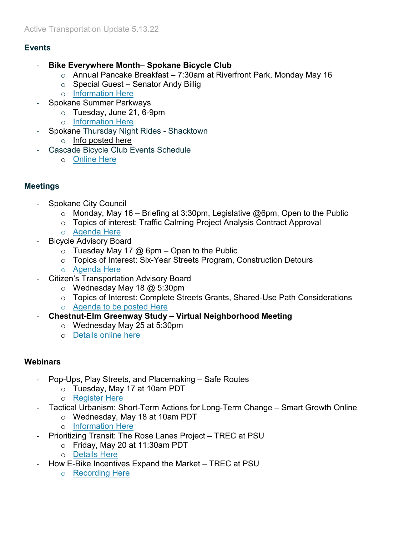#### **Events**

- **Bike Everywhere Month Spokane Bicycle Club**
	- o Annual Pancake Breakfast 7:30am at Riverfront Park, Monday May 16
	- $\circ$  Special Guest Senator Andy Billig
	- o [Information Here](http://www.spokanebicycleclub.org/page-1858667)
- Spokane Summer Parkways
	- o Tuesday, June 21, 6-9pm
	- o [Information Here](https://summerparkways.com/)
	- Spokane Thursday Night Rides Shacktown
		- o [Info posted here](https://www.facebook.com/shacktowncomm/)
- Cascade Bicycle Club Events Schedule
	- o [Online Here](https://cascade.org/node/46270?utm_medium=email&utm_campaign=Devo%20Member%20News%20January%202021&utm_content=Devo%20Member%20News%20January%202021+CID_a879f557ac94003a04052e7c0e5785e9&utm_source=Campaign%20Monitor&utm_term=Learn%20more%20about%20the%20events%20we%20are%20hosting%20this%20year)

#### **Meetings**

- Spokane City Council
	- $\circ$  Monday, May 16 Briefing at 3:30pm, Legislative @6pm, Open to the Public
	- o Topics of interest: Traffic Calming Project Analysis Contract Approval
	- o [Agenda Here](https://static.spokanecity.org/documents/citycouncil/current-agendas/2022/05/city-council-current-agenda-2022-05-16.pdf)
- Bicycle Advisory Board
	- $\circ$  Tuesday May 17 @ 6pm Open to the Public
	- o Topics of Interest: Six-Year Streets Program, Construction Detours
	- o [Agenda Here](https://static.spokanecity.org/documents/bcc/boards/bicycle-advisory-board/agendas/2022/05/bab-agenda-2022-05-17.pdf)
- Citizen's Transportation Advisory Board
	- $\circ$  Wednesday May 18 @ 5:30pm
	- o Topics of Interest: Complete Streets Grants, Shared-Use Path Considerations
	- o [Agenda to be posted Here](https://my.spokanecity.org/bcc/boards/spokane-transportation-benefit-district-governing-board/citizens-transportation-advisory-board/)
- **Chestnut-Elm Greenway Study Virtual Neighborhood Meeting**
	- o Wednesday May 25 at 5:30pm
	- o [Details online here](https://my.spokanecity.org/projects/chestnut-elm-neighborhood-greenway-study/)

#### **Webinars**

- Pop-Ups, Play Streets, and Placemaking Safe Routes
	- o Tuesday, May 17 at 10am PDT
	- o [Register Here](https://saferoutespartnership-org.zoom.us/webinar/register/WN_qOZ0qxDeTuSCV-OzW4Ppdw?timezone_id=America%2FLos_Angeles)
- Tactical Urbanism: Short-Term Actions for Long-Term Change Smart Growth Online
	- o Wednesday, May 18 at 10am PDT
	- o [Information Here](https://smartgrowth.org/2022-0518-tactical-urbanism-taking-short-term-actions-to-generate-long-term-change/)
- Prioritizing Transit: The Rose Lanes Project TREC at PSU
	- o Friday, May 20 at 11:30am PDT
	- o [Details Here](https://trec.pdx.edu/events/professional-development/friday-transportation-05202022)
- How E-Bike Incentives Expand the Market TREC at PSU
	- o [Recording Here](https://www.youtube.com/watch?v=qw0FcyMeGY4)